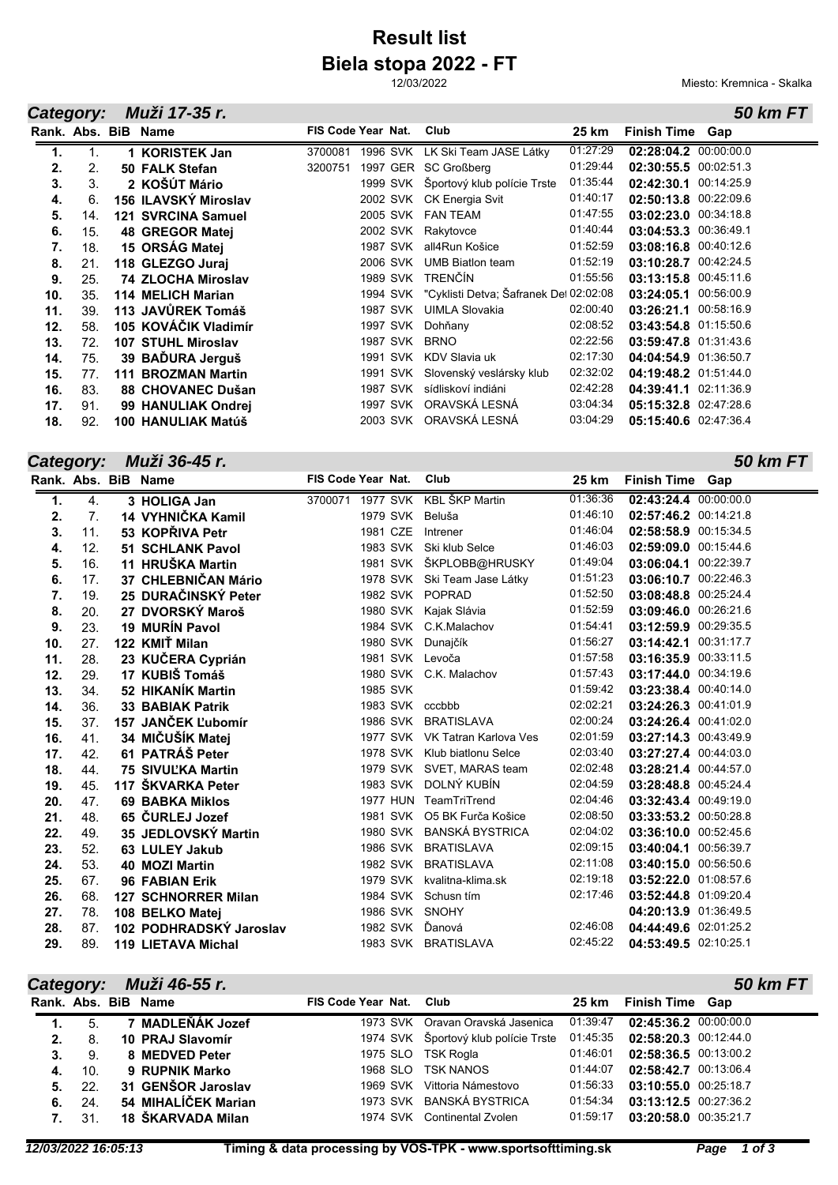## **Biela stopa 2022 - FT Result list**

12/03/2022

Miesto: Kremnica - Skalka

| Category: |     | Muži 17-35 r.             |                    |          |                 |                                                |          |                       | <b>50 km FT</b> |
|-----------|-----|---------------------------|--------------------|----------|-----------------|------------------------------------------------|----------|-----------------------|-----------------|
|           |     | Rank. Abs. BiB Name       | FIS Code Year Nat. |          |                 | Club                                           | 25 km    | <b>Finish Time</b>    | Gap             |
| 1.        |     | 1 KORISTEK Jan            | 3700081            |          |                 | 1996 SVK LK Ski Team JASE Látky                | 01:27:29 | 02:28:04.2 00:00:00.0 |                 |
| 2.        | 2.  | 50 FALK Stefan            | 3200751            |          |                 | 1997 GER SC Großberg                           | 01:29:44 | 02:30:55.5 00:02:51.3 |                 |
| 3.        | 3.  | 2 KOŠÚT Mário             |                    |          |                 | 1999 SVK Športový klub polície Trste           | 01:35:44 | 02:42:30.1 00:14:25.9 |                 |
| 4.        | 6.  | 156 ILAVSKÝ Miroslav      |                    |          |                 | 2002 SVK CK Energia Svit                       | 01:40:17 | 02:50:13.8 00:22:09.6 |                 |
| 5.        | 14. | <b>121 SVRCINA Samuel</b> |                    |          | 2005 SVK        | <b>FAN TEAM</b>                                | 01:47:55 | 03:02:23.0 00:34:18.8 |                 |
| 6.        | 15. | 48 GREGOR Matej           |                    |          | 2002 SVK        | Rakytovce                                      | 01:40:44 | 03:04:53.3 00:36:49.1 |                 |
| 7.        | 18. | 15 ORSÁG Matej            |                    |          | 1987 SVK        | all4Run Košice                                 | 01:52:59 | 03:08:16.8 00:40:12.6 |                 |
| 8.        | 21. | 118 GLEZGO Juraj          |                    | 2006 SVK |                 | <b>UMB Biatlon team</b>                        | 01:52:19 | 03:10:28.7 00:42:24.5 |                 |
| 9.        | 25. | <b>74 ZLOCHA Miroslav</b> |                    |          | 1989 SVK        | <b>TRENČÍN</b>                                 | 01:55:56 | 03:13:15.8 00:45:11.6 |                 |
| 10.       | 35. | <b>114 MELICH Marian</b>  |                    |          |                 | 1994 SVK "Cyklisti Detva; Šafranek De 02:02:08 |          | 03:24:05.1 00:56:00.9 |                 |
| 11.       | 39. | 113 JAVŮREK Tomáš         |                    |          | <b>1987 SVK</b> | <b>UIMLA Slovakia</b>                          | 02:00:40 | 03:26:21.1 00:58:16.9 |                 |
| 12.       | 58. | 105 KOVÁČIK Vladimír      |                    |          | 1997 SVK        | Dohňany                                        | 02:08:52 | 03:43:54.8 01:15:50.6 |                 |
| 13.       | 72. | <b>107 STUHL Miroslav</b> |                    |          | 1987 SVK        | <b>BRNO</b>                                    | 02:22:56 | 03:59:47.8 01:31:43.6 |                 |
| 14.       | 75. | 39 BAĎURA Jerguš          |                    |          | 1991 SVK        | KDV Slavia uk                                  | 02:17:30 | 04:04:54.9 01:36:50.7 |                 |
| 15.       | 77. | <b>111 BROZMAN Martin</b> |                    |          | 1991 SVK        | Slovenský veslársky klub                       | 02:32:02 | 04:19:48.2 01:51:44.0 |                 |
| 16.       | 83. | 88 CHOVANEC Dušan         |                    |          | 1987 SVK        | sídliskoví indiáni                             | 02:42:28 | 04:39:41.1 02:11:36.9 |                 |
| 17.       | 91. | 99 HANULIAK Ondrej        |                    |          | 1997 SVK        | ORAVSKÁ LESNÁ                                  | 03:04:34 | 05:15:32.8 02:47:28.6 |                 |
| 18.       | 92. | 100 HANULIAK Matúš        |                    |          | 2003 SVK        | ORAVSKÁ LESNÁ                                  | 03:04:29 | 05:15:40.6 02:47:36.4 |                 |

| Category: | Muži 36-45 r. |
|-----------|---------------|
|-----------|---------------|

*50 km FT*

|     |     | Rank. Abs. BiB Name        | FIS Code Year Nat.              | Club                           | 25 km    | Finish Time Gap       |
|-----|-----|----------------------------|---------------------------------|--------------------------------|----------|-----------------------|
| 1.  | 4.  | 3 HOLIGA Jan               | 3700071 1977 SVK KBL ŠKP Martin |                                | 01:36:36 | 02:43:24.4 00:00:00.0 |
| 2.  | 7.  | 14 VYHNIČKA Kamil          |                                 | 1979 SVK Beluša                | 01:46:10 | 02:57:46.2 00:14:21.8 |
| 3.  | 11. | 53 KOPŘIVA Petr            | 1981 CZE                        | Intrener                       | 01:46:04 | 02:58:58.9 00:15:34.5 |
| 4.  | 12. | 51 SCHLANK Pavol           |                                 | 1983 SVK Ski klub Selce        | 01:46:03 | 02:59:09.0 00:15:44.6 |
| 5.  | 16. | 11 HRUŠKA Martin           |                                 | 1981 SVK ŠKPLOBB@HRUSKY        | 01:49:04 | 03:06:04.1 00:22:39.7 |
| 6.  | 17. | 37 CHLEBNIČAN Mário        |                                 | 1978 SVK Ski Team Jase Látky   | 01:51:23 | 03:06:10.7 00:22:46.3 |
| 7.  | 19. | 25 DURAČINSKÝ Peter        |                                 | 1982 SVK POPRAD                | 01:52:50 | 03:08:48.8 00:25:24.4 |
| 8.  | 20. | 27 DVORSKÝ Maroš           |                                 | 1980 SVK Kajak Slávia          | 01:52:59 | 03:09:46.0 00:26:21.6 |
| 9.  | 23. | 19 MURÍN Pavol             |                                 | 1984 SVK C.K.Malachov          | 01:54:41 | 03:12:59.9 00:29:35.5 |
| 10. | 27. | 122 KMIŤ Milan             |                                 | 1980 SVK Dunajčík              | 01:56:27 | 03:14:42.1 00:31:17.7 |
| 11. | 28. | 23 KUČERA Cyprián          |                                 | 1981 SVK Levoča                | 01:57:58 | 03:16:35.9 00:33:11.5 |
| 12. | 29. | 17 KUBIŠ Tomáš             |                                 | 1980 SVK C.K. Malachov         | 01:57:43 | 03:17:44.0 00:34:19.6 |
| 13. | 34. | 52 HIKANÍK Martin          | 1985 SVK                        |                                | 01:59:42 | 03:23:38.4 00:40:14.0 |
| 14. | 36. | <b>33 BABIAK Patrik</b>    |                                 | 1983 SVK cccbbb                | 02:02:21 | 03:24:26.3 00:41:01.9 |
| 15. | 37. | 157 JANČEK Ľubomír         |                                 | 1986 SVK BRATISLAVA            | 02:00:24 | 03:24:26.4 00:41:02.0 |
| 16. | 41. | 34 MIČUŠÍK Matej           |                                 | 1977 SVK VK Tatran Karlova Ves | 02:01:59 | 03:27:14.3 00:43:49.9 |
| 17. | 42. | 61 PATRÁŠ Peter            |                                 | 1978 SVK Klub biatlonu Selce   | 02:03:40 | 03:27:27.4 00:44:03.0 |
| 18. | 44. | <b>75 SIVULKA Martin</b>   |                                 | 1979 SVK SVET, MARAS team      | 02:02:48 | 03:28:21.4 00:44:57.0 |
| 19. | 45. | 117 ŠKVARKA Peter          |                                 | 1983 SVK DOLNÝ KUBÍN           | 02:04:59 | 03:28:48.8 00:45:24.4 |
| 20. | 47. | <b>69 BABKA Miklos</b>     |                                 | 1977 HUN TeamTriTrend          | 02:04:46 | 03:32:43.4 00:49:19.0 |
| 21. | 48. | 65 ČURLEJ Jozef            |                                 | 1981 SVK O5 BK Furča Košice    | 02:08:50 | 03:33:53.2 00:50:28.8 |
| 22. | 49. | 35 JEDLOVSKÝ Martin        |                                 | 1980 SVK BANSKÁ BYSTRICA       | 02:04:02 | 03:36:10.0 00:52:45.6 |
| 23. | 52. | 63 LULEY Jakub             |                                 | 1986 SVK BRATISLAVA            | 02:09:15 | 03:40:04.1 00:56:39.7 |
| 24. | 53. | <b>40 MOZI Martin</b>      |                                 | 1982 SVK BRATISLAVA            | 02:11:08 | 03:40:15.0 00:56:50.6 |
| 25. | 67. | <b>96 FABIAN Erik</b>      |                                 | 1979 SVK kvalitna-klima.sk     | 02:19:18 | 03:52:22.0 01:08:57.6 |
| 26. | 68. | <b>127 SCHNORRER Milan</b> |                                 | 1984 SVK Schusn tím            | 02:17:46 | 03:52:44.8 01:09:20.4 |
| 27. | 78. | 108 BELKO Matej            |                                 | 1986 SVK SNOHY                 |          | 04:20:13.9 01:36:49.5 |
| 28. | 87. | 102 PODHRADSKÝ Jaroslav    |                                 | 1982 SVK Ďanová                | 02:46:08 | 04:44:49.6 02:01:25.2 |
| 29. | 89. | <b>119 LIETAVA Michal</b>  |                                 | 1983 SVK BRATISLAVA            | 02:45:22 | 04:53:49.5 02:10:25.1 |

| Category: |     | Muži 46-55 r.       |                    |                                               |          | <b>50 km FT</b>        |
|-----------|-----|---------------------|--------------------|-----------------------------------------------|----------|------------------------|
|           |     | Rank. Abs. BiB Name | FIS Code Year Nat. | Club                                          | 25 km    | <b>Finish Time Gap</b> |
| 1.        | 5.  | 7 MADLEŇÁK Jozef    |                    | 1973 SVK Oravan Oravská Jasenica              | 01:39:47 | 02:45:36.2 00:00:00.0  |
| 2.        | 8.  | 10 PRAJ Slavomír    |                    | 1974 SVK Športový klub polície Trste 01:45:35 |          | 02:58:20.3 00:12:44.0  |
| 3.        | 9.  | 8 MEDVED Peter      |                    | 1975 SLO TSK Rogla                            | 01:46:01 | 02:58:36.5 00:13:00.2  |
| 4.        | 10. | 9 RUPNIK Marko      |                    | 1968 SLO TSK NANOS                            | 01:44:07 | 02:58:42.7 00:13:06.4  |
| 5.        | 22. | 31 GENŠOR Jaroslav  | 1969 SVK           | Vittoria Námestovo                            | 01:56:33 | 03:10:55.0 00:25:18.7  |
| 6.        | 24. | 54 MIHALÍČEK Marian |                    | 1973 SVK BANSKÁ BYSTRICA                      | 01:54:34 | 03:13:12.5 00:27:36.2  |
|           | 31. | 18 ŠKARVADA Milan   | 1974 SVK           | Continental Zvolen                            | 01:59:17 | 03:20:58.0 00:35:21.7  |